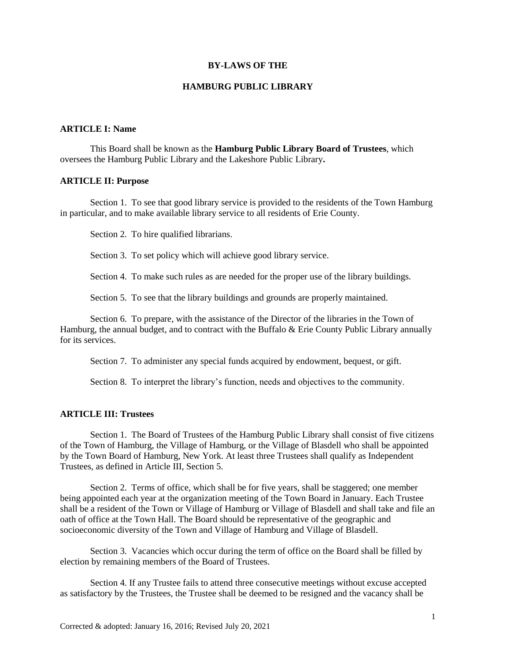#### **BY-LAWS OF THE**

#### **HAMBURG PUBLIC LIBRARY**

## **ARTICLE I: Name**

This Board shall be known as the **Hamburg Public Library Board of Trustees**, which oversees the Hamburg Public Library and the Lakeshore Public Library**.**

#### **ARTICLE II: Purpose**

Section 1. To see that good library service is provided to the residents of the Town Hamburg in particular, and to make available library service to all residents of Erie County.

Section 2. To hire qualified librarians.

Section 3. To set policy which will achieve good library service.

Section 4. To make such rules as are needed for the proper use of the library buildings.

Section 5. To see that the library buildings and grounds are properly maintained.

Section 6. To prepare, with the assistance of the Director of the libraries in the Town of Hamburg, the annual budget, and to contract with the Buffalo & Erie County Public Library annually for its services.

Section 7. To administer any special funds acquired by endowment, bequest, or gift.

Section 8. To interpret the library's function, needs and objectives to the community.

### **ARTICLE III: Trustees**

Section 1. The Board of Trustees of the Hamburg Public Library shall consist of five citizens of the Town of Hamburg, the Village of Hamburg, or the Village of Blasdell who shall be appointed by the Town Board of Hamburg, New York. At least three Trustees shall qualify as Independent Trustees, as defined in Article III, Section 5.

Section 2. Terms of office, which shall be for five years, shall be staggered; one member being appointed each year at the organization meeting of the Town Board in January. Each Trustee shall be a resident of the Town or Village of Hamburg or Village of Blasdell and shall take and file an oath of office at the Town Hall. The Board should be representative of the geographic and socioeconomic diversity of the Town and Village of Hamburg and Village of Blasdell.

Section 3. Vacancies which occur during the term of office on the Board shall be filled by election by remaining members of the Board of Trustees.

Section 4. If any Trustee fails to attend three consecutive meetings without excuse accepted as satisfactory by the Trustees, the Trustee shall be deemed to be resigned and the vacancy shall be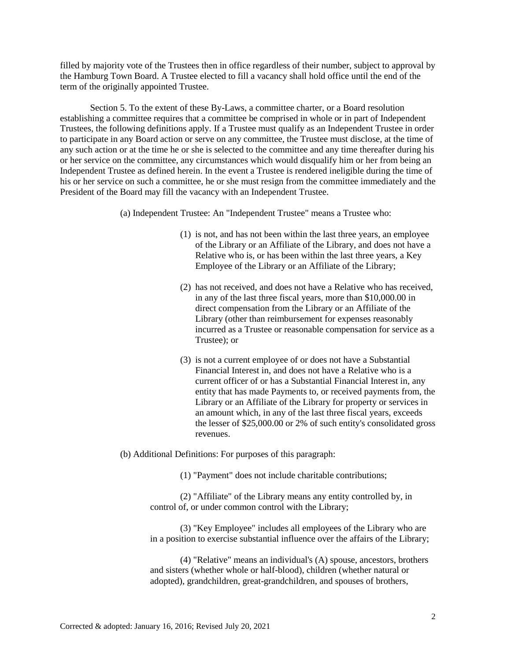filled by majority vote of the Trustees then in office regardless of their number, subject to approval by the Hamburg Town Board. A Trustee elected to fill a vacancy shall hold office until the end of the term of the originally appointed Trustee.

Section 5. To the extent of these By-Laws, a committee charter, or a Board resolution establishing a committee requires that a committee be comprised in whole or in part of Independent Trustees, the following definitions apply. If a Trustee must qualify as an Independent Trustee in order to participate in any Board action or serve on any committee, the Trustee must disclose, at the time of any such action or at the time he or she is selected to the committee and any time thereafter during his or her service on the committee, any circumstances which would disqualify him or her from being an Independent Trustee as defined herein. In the event a Trustee is rendered ineligible during the time of his or her service on such a committee, he or she must resign from the committee immediately and the President of the Board may fill the vacancy with an Independent Trustee.

(a) Independent Trustee: An "Independent Trustee" means a Trustee who:

- (1) is not, and has not been within the last three years, an employee of the Library or an Affiliate of the Library, and does not have a Relative who is, or has been within the last three years, a Key Employee of the Library or an Affiliate of the Library;
- (2) has not received, and does not have a Relative who has received, in any of the last three fiscal years, more than \$10,000.00 in direct compensation from the Library or an Affiliate of the Library (other than reimbursement for expenses reasonably incurred as a Trustee or reasonable compensation for service as a Trustee); or
- (3) is not a current employee of or does not have a Substantial Financial Interest in, and does not have a Relative who is a current officer of or has a Substantial Financial Interest in, any entity that has made Payments to, or received payments from, the Library or an Affiliate of the Library for property or services in an amount which, in any of the last three fiscal years, exceeds the lesser of \$25,000.00 or 2% of such entity's consolidated gross revenues.

(b) Additional Definitions: For purposes of this paragraph:

(1) "Payment" does not include charitable contributions;

(2) "Affiliate" of the Library means any entity controlled by, in control of, or under common control with the Library;

(3) "Key Employee" includes all employees of the Library who are in a position to exercise substantial influence over the affairs of the Library;

(4) "Relative" means an individual's (A) spouse, ancestors, brothers and sisters (whether whole or half-blood), children (whether natural or adopted), grandchildren, great-grandchildren, and spouses of brothers,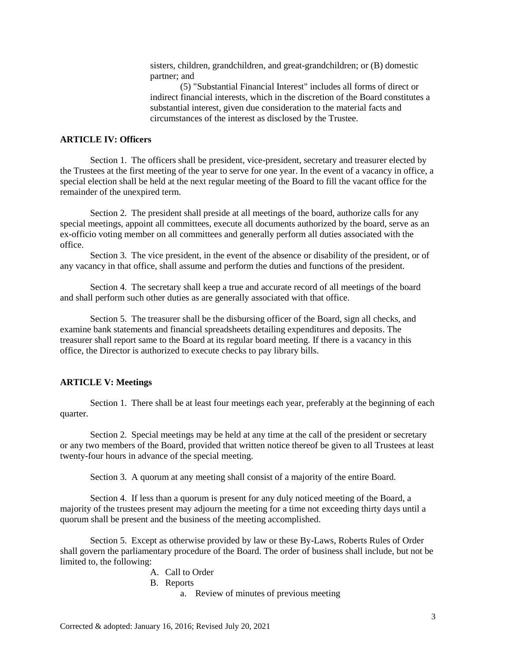sisters, children, grandchildren, and great-grandchildren; or (B) domestic partner; and

(5) "Substantial Financial Interest" includes all forms of direct or indirect financial interests, which in the discretion of the Board constitutes a substantial interest, given due consideration to the material facts and circumstances of the interest as disclosed by the Trustee.

### **ARTICLE IV: Officers**

Section 1. The officers shall be president, vice-president, secretary and treasurer elected by the Trustees at the first meeting of the year to serve for one year. In the event of a vacancy in office, a special election shall be held at the next regular meeting of the Board to fill the vacant office for the remainder of the unexpired term.

Section 2. The president shall preside at all meetings of the board, authorize calls for any special meetings, appoint all committees, execute all documents authorized by the board, serve as an ex-officio voting member on all committees and generally perform all duties associated with the office.

Section 3. The vice president, in the event of the absence or disability of the president, or of any vacancy in that office, shall assume and perform the duties and functions of the president.

Section 4. The secretary shall keep a true and accurate record of all meetings of the board and shall perform such other duties as are generally associated with that office.

Section 5. The treasurer shall be the disbursing officer of the Board, sign all checks, and examine bank statements and financial spreadsheets detailing expenditures and deposits. The treasurer shall report same to the Board at its regular board meeting. If there is a vacancy in this office, the Director is authorized to execute checks to pay library bills.

### **ARTICLE V: Meetings**

Section 1. There shall be at least four meetings each year, preferably at the beginning of each quarter.

Section 2. Special meetings may be held at any time at the call of the president or secretary or any two members of the Board, provided that written notice thereof be given to all Trustees at least twenty-four hours in advance of the special meeting.

Section 3. A quorum at any meeting shall consist of a majority of the entire Board.

Section 4. If less than a quorum is present for any duly noticed meeting of the Board, a majority of the trustees present may adjourn the meeting for a time not exceeding thirty days until a quorum shall be present and the business of the meeting accomplished.

Section 5. Except as otherwise provided by law or these By-Laws, Roberts Rules of Order shall govern the parliamentary procedure of the Board. The order of business shall include, but not be limited to, the following:

#### A. Call to Order

- B. Reports
	- a. Review of minutes of previous meeting